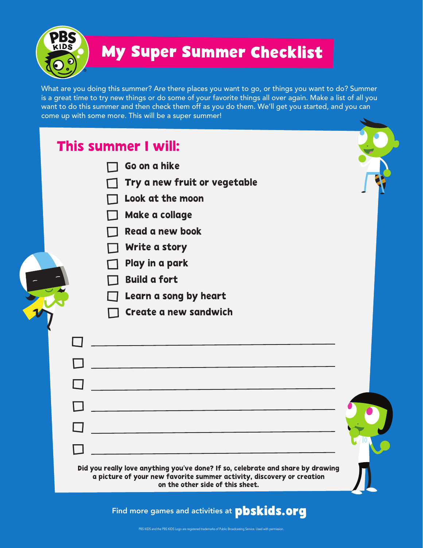235 KIDS

 $\Box$ 

 $\Box$ 

 $\Box$ 

## **My Super Summer Checklist**

What are you doing this summer? Are there places you want to go, or things you want to do? Summer is a great time to try new things or do some of your favorite things all over again. Make a list of all you want to do this summer and then check them off as you do them. We'll get you started, and you can come up with some more. This will be a super summer!

## This summer I will:

- Go on a hike
- Try a new fruit or vegetable
- Look at the moon
- Make a collage
- Read a new book
- Write a story
- Play in a park
- Build a fort
- Learn a song by heart
- Create a new sandwich

| Did you really love anything you've done? If so, celebrate and share by drawing<br>a picture of your new favorite summer activity, discovery or creation<br>on the other side of this sheet. |  |
|----------------------------------------------------------------------------------------------------------------------------------------------------------------------------------------------|--|

Find more games and activities at **pbskids.org**